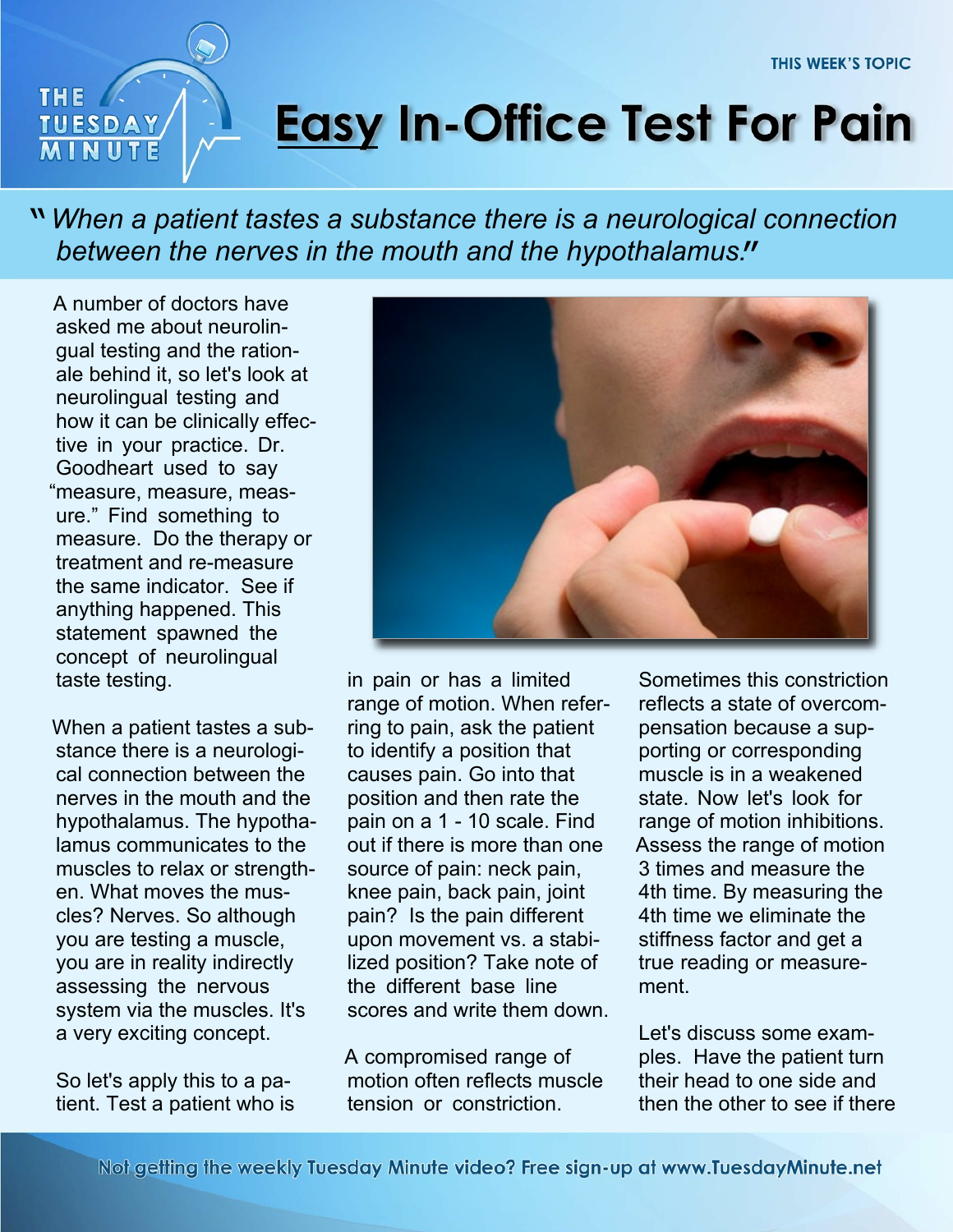## THE. **TUESDAY**

## **Easy In-Office Test For Pain**

*When a patient tastes a substance there is a neurological connection* " *between the nerves in the mouth and the hypothalamus.* "

A number of doctors have asked me about neurolingual testing and the rationale behind it, so let's look at neurolingual testing and how it can be clinically effective in your practice. Dr. Goodheart used to say "measure, measure, measure." Find something to measure. Do the therapy or treatment and re-measure the same indicator. See if anything happened. This statement spawned the concept of neurolingual taste testing.

When a patient tastes a substance there is a neurological connection between the nerves in the mouth and the hypothalamus. The hypothalamus communicates to the muscles to relax or strengthen. What moves the muscles? Nerves. So although you are testing a muscle, you are in reality indirectly assessing the nervous system via the muscles. It's a very exciting concept.

So let's apply this to a patient. Test a patient who is



in pain or has a limited range of motion. When referring to pain, ask the patient to identify a position that causes pain. Go into that position and then rate the pain on a 1 - 10 scale. Find out if there is more than one source of pain: neck pain, knee pain, back pain, joint pain? Is the pain different upon movement vs. a stabilized position? Take note of the different base line scores and write them down.

A compromised range of motion often reflects muscle tension or constriction.

Sometimes this constriction reflects a state of overcompensation because a supporting or corresponding muscle is in a weakened state. Now let's look for range of motion inhibitions. Assess the range of motion 3 times and measure the 4th time. By measuring the 4th time we eliminate the stiffness factor and get a true reading or measurement.

Let's discuss some examples. Have the patient turn their head to one side and then the other to see if there